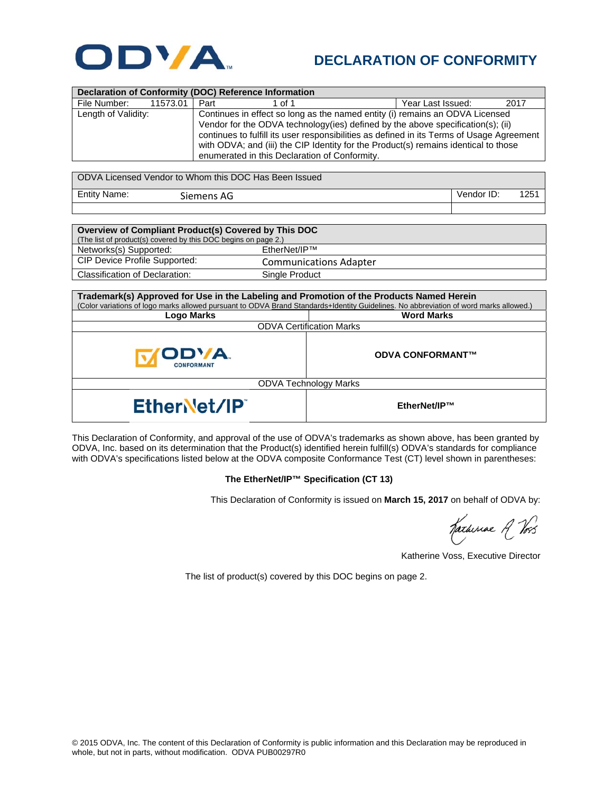

## **DECLARATION OF CONFORMITY**

| Declaration of Conformity (DOC) Reference Information |                                                                                           |                   |      |  |  |
|-------------------------------------------------------|-------------------------------------------------------------------------------------------|-------------------|------|--|--|
| File Number:<br>11573.01 J                            | Part<br>1 of 1                                                                            | Year Last Issued: | 2017 |  |  |
| Length of Validity:                                   | Continues in effect so long as the named entity (i) remains an ODVA Licensed              |                   |      |  |  |
|                                                       | Vendor for the ODVA technology (ies) defined by the above specification(s); (ii)          |                   |      |  |  |
|                                                       | continues to fulfill its user responsibilities as defined in its Terms of Usage Agreement |                   |      |  |  |
|                                                       | with ODVA; and (iii) the CIP Identity for the Product(s) remains identical to those       |                   |      |  |  |
|                                                       | enumerated in this Declaration of Conformity.                                             |                   |      |  |  |

| ODVA Licensed Vendor to Whom this DOC Has Been Issued |            |            |      |
|-------------------------------------------------------|------------|------------|------|
| <b>Entity Name:</b>                                   | Siemens AG | Vendor ID: | 1251 |
|                                                       |            |            |      |

| Overview of Compliant Product(s) Covered by This DOC           |                               |  |  |  |
|----------------------------------------------------------------|-------------------------------|--|--|--|
| (The list of product(s) covered by this DOC begins on page 2.) |                               |  |  |  |
| Networks(s) Supported:                                         | $F$ therNet/IP <sup>TM</sup>  |  |  |  |
| CIP Device Profile Supported:                                  | <b>Communications Adapter</b> |  |  |  |
| Classification of Declaration:                                 | Single Product                |  |  |  |

| Trademark(s) Approved for Use in the Labeling and Promotion of the Products Named Herein<br>(Color variations of logo marks allowed pursuant to ODVA Brand Standards+Identity Guidelines. No abbreviation of word marks allowed.) |                         |  |  |  |
|-----------------------------------------------------------------------------------------------------------------------------------------------------------------------------------------------------------------------------------|-------------------------|--|--|--|
| Logo Marks                                                                                                                                                                                                                        | <b>Word Marks</b>       |  |  |  |
| <b>ODVA Certification Marks</b>                                                                                                                                                                                                   |                         |  |  |  |
| ODVA.<br><b>CONFORMANT</b>                                                                                                                                                                                                        | <b>ODVA CONFORMANT™</b> |  |  |  |
| <b>ODVA Technology Marks</b>                                                                                                                                                                                                      |                         |  |  |  |
| EtherNet/IP                                                                                                                                                                                                                       | EtherNet/IP™            |  |  |  |

This Declaration of Conformity, and approval of the use of ODVA's trademarks as shown above, has been granted by ODVA, Inc. based on its determination that the Product(s) identified herein fulfill(s) ODVA's standards for compliance with ODVA's specifications listed below at the ODVA composite Conformance Test (CT) level shown in parentheses:

## **The EtherNet/IP™ Specification (CT 13)**

This Declaration of Conformity is issued on **March 15, 2017** on behalf of ODVA by:

Katheriae R Vos

Katherine Voss, Executive Director

The list of product(s) covered by this DOC begins on page 2.